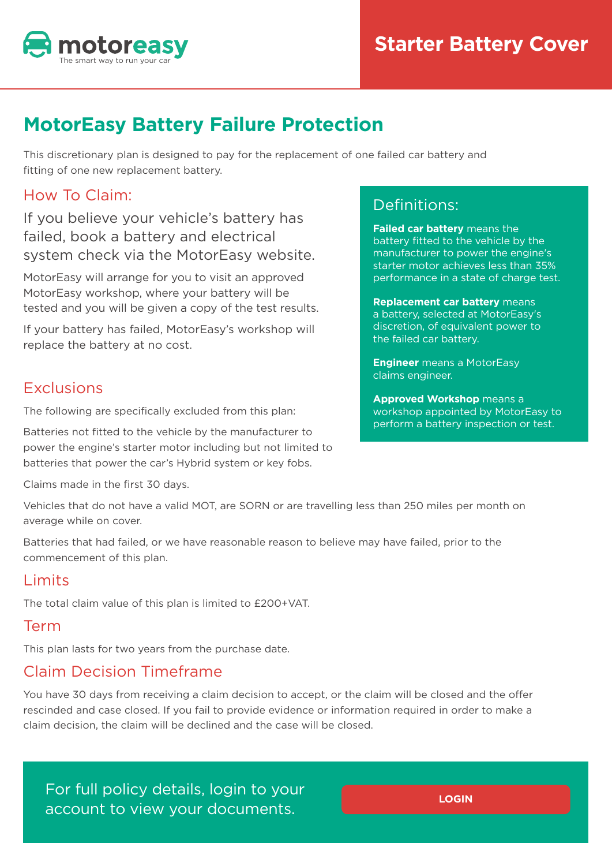

# **MotorEasy Battery Failure Protection**

This discretionary plan is designed to pay for the replacement of one failed car battery and fitting of one new replacement battery.

### How To Claim:

If you believe your vehicle's battery has failed, book a battery and electrical system check via the MotorEasy website.

MotorEasy will arrange for you to visit an approved MotorEasy workshop, where your battery will be tested and you will be given a copy of the test results.

If your battery has failed, MotorEasy's workshop will replace the battery at no cost.

### **Exclusions**

The following are specifically excluded from this plan:

Batteries not fitted to the vehicle by the manufacturer to power the engine's starter motor including but not limited to batteries that power the car's Hybrid system or key fobs.

Claims made in the first 30 days.

Vehicles that do not have a valid MOT, are SORN or are travelling less than 250 miles per month on average while on cover.

Batteries that had failed, or we have reasonable reason to believe may have failed, prior to the commencement of this plan.

# Limits

The total claim value of this plan is limited to £200+VAT.

#### Term

This plan lasts for two years from the purchase date.

# Claim Decision Timeframe

You have 30 days from receiving a claim decision to accept, or the claim will be closed and the offer rescinded and case closed. If you fail to provide evidence or information required in order to make a claim decision, the claim will be declined and the case will be closed.

For full policy details, login to your account to view your documents.

# Definitions:

**Failed car battery** means the battery fitted to the vehicle by the manufacturer to power the engine's starter motor achieves less than 35% performance in a state of charge test.

**Replacement car battery** means a battery, selected at MotorEasy's discretion, of equivalent power to the failed car battery.

**Engineer** means a MotorEasy claims engineer.

**Approved Workshop** means a workshop appointed by MotorEasy to perform a battery inspection or test.

**LOGIN**